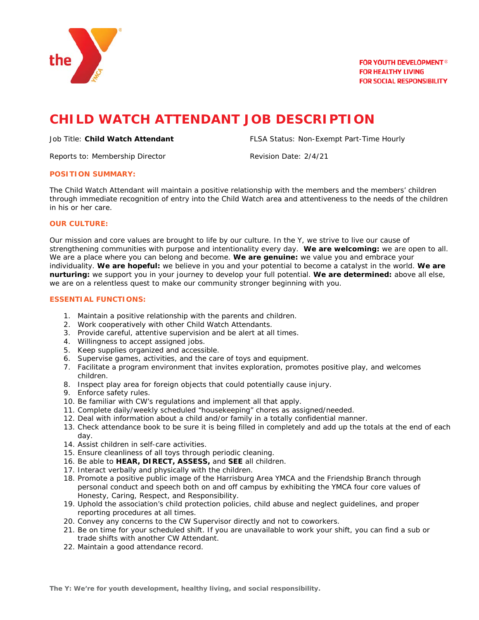

# **CHILD WATCH ATTENDANT JOB DESCRIPTION**

Reports to: Membership Director **Revision Date: 2/4/21** 

Job Title: **Child Watch Attendant** FLSA Status: Non-Exempt Part-Time Hourly

#### **POSITION SUMMARY:**

The Child Watch Attendant will maintain a positive relationship with the members and the members' children through immediate recognition of entry into the Child Watch area and attentiveness to the needs of the children in his or her care.

## **OUR CULTURE:**

Our mission and core values are brought to life by our culture. In the Y, we strive to live our cause of strengthening communities with purpose and intentionality every day. **We are welcoming:** we are open to all. We are a place where you can belong and become. **We are genuine:** we value you and embrace your individuality. **We are hopeful:** we believe in you and your potential to become a catalyst in the world. **We are nurturing:** we support you in your journey to develop your full potential. **We are determined:** above all else, we are on a relentless quest to make our community stronger beginning with you.

#### **ESSENTIAL FUNCTIONS:**

- 1. Maintain a positive relationship with the parents and children.
- 2. Work cooperatively with other Child Watch Attendants.
- 3. Provide careful, attentive supervision and be alert at all times.
- 4. Willingness to accept assigned jobs.
- 5. Keep supplies organized and accessible.
- 6. Supervise games, activities, and the care of toys and equipment.
- 7. Facilitate a program environment that invites exploration, promotes positive play, and welcomes children.
- 8. Inspect play area for foreign objects that could potentially cause injury.
- 9. Enforce safety rules.
- 10. Be familiar with CW's regulations and implement all that apply.
- 11. Complete daily/weekly scheduled "housekeeping" chores as assigned/needed.
- 12. Deal with information about a child and/or family in a totally confidential manner.
- 13. Check attendance book to be sure it is being filled in completely and add up the totals at the end of each day.
- 14. Assist children in self-care activities.
- 15. Ensure cleanliness of all toys through periodic cleaning.
- 16. Be able to **HEAR, DIRECT, ASSESS,** and **SEE** all children.
- 17. Interact verbally and physically with the children.
- 18. Promote a positive public image of the Harrisburg Area YMCA and the Friendship Branch through personal conduct and speech both on and off campus by exhibiting the YMCA four core values of Honesty, Caring, Respect, and Responsibility.
- 19. Uphold the association's child protection policies, child abuse and neglect guidelines, and proper reporting procedures at all times.
- 20. Convey any concerns to the CW Supervisor directly and not to coworkers.
- 21. Be on time for your scheduled shift. If you are unavailable to work your shift, you can find a sub or trade shifts with another CW Attendant.
- 22. Maintain a good attendance record.